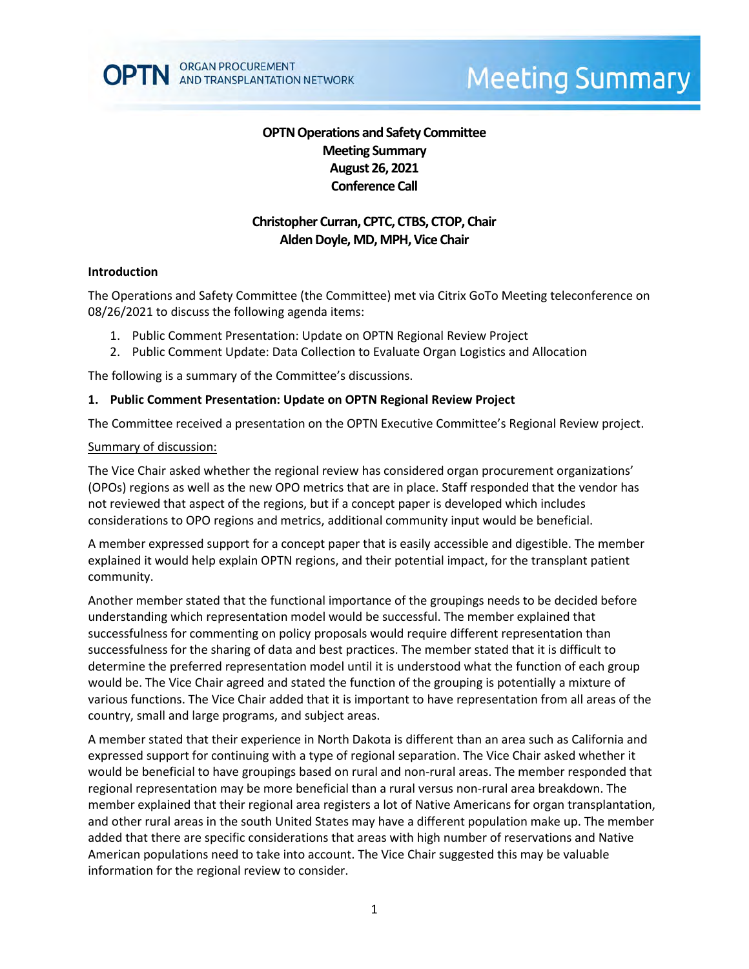# **OPTN Operations and Safety Committee Meeting Summary August 26, 2021 Conference Call**

# **Christopher Curran, CPTC, CTBS, CTOP, Chair Alden Doyle, MD, MPH, Vice Chair**

### **Introduction**

The Operations and Safety Committee (the Committee) met via Citrix GoTo Meeting teleconference on 08/26/2021 to discuss the following agenda items:

- 1. Public Comment Presentation: Update on OPTN Regional Review Project
- 2. Public Comment Update: Data Collection to Evaluate Organ Logistics and Allocation

The following is a summary of the Committee's discussions.

#### **1. Public Comment Presentation: Update on OPTN Regional Review Project**

The Committee received a presentation on the OPTN Executive Committee's Regional Review project.

#### Summary of discussion:

The Vice Chair asked whether the regional review has considered organ procurement organizations' (OPOs) regions as well as the new OPO metrics that are in place. Staff responded that the vendor has not reviewed that aspect of the regions, but if a concept paper is developed which includes considerations to OPO regions and metrics, additional community input would be beneficial.

A member expressed support for a concept paper that is easily accessible and digestible. The member explained it would help explain OPTN regions, and their potential impact, for the transplant patient community.

Another member stated that the functional importance of the groupings needs to be decided before understanding which representation model would be successful. The member explained that successfulness for commenting on policy proposals would require different representation than successfulness for the sharing of data and best practices. The member stated that it is difficult to determine the preferred representation model until it is understood what the function of each group would be. The Vice Chair agreed and stated the function of the grouping is potentially a mixture of various functions. The Vice Chair added that it is important to have representation from all areas of the country, small and large programs, and subject areas.

A member stated that their experience in North Dakota is different than an area such as California and expressed support for continuing with a type of regional separation. The Vice Chair asked whether it would be beneficial to have groupings based on rural and non-rural areas. The member responded that regional representation may be more beneficial than a rural versus non-rural area breakdown. The member explained that their regional area registers a lot of Native Americans for organ transplantation, and other rural areas in the south United States may have a different population make up. The member added that there are specific considerations that areas with high number of reservations and Native American populations need to take into account. The Vice Chair suggested this may be valuable information for the regional review to consider.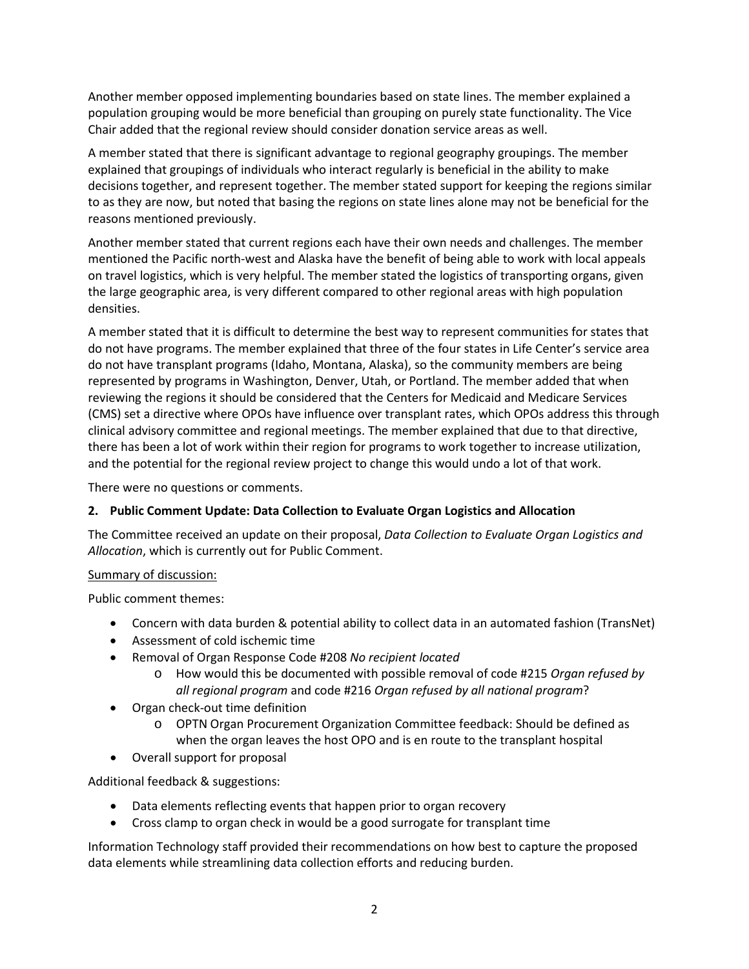Another member opposed implementing boundaries based on state lines. The member explained a population grouping would be more beneficial than grouping on purely state functionality. The Vice Chair added that the regional review should consider donation service areas as well.

A member stated that there is significant advantage to regional geography groupings. The member explained that groupings of individuals who interact regularly is beneficial in the ability to make decisions together, and represent together. The member stated support for keeping the regions similar to as they are now, but noted that basing the regions on state lines alone may not be beneficial for the reasons mentioned previously.

Another member stated that current regions each have their own needs and challenges. The member mentioned the Pacific north-west and Alaska have the benefit of being able to work with local appeals on travel logistics, which is very helpful. The member stated the logistics of transporting organs, given the large geographic area, is very different compared to other regional areas with high population densities.

A member stated that it is difficult to determine the best way to represent communities for states that do not have programs. The member explained that three of the four states in Life Center's service area do not have transplant programs (Idaho, Montana, Alaska), so the community members are being represented by programs in Washington, Denver, Utah, or Portland. The member added that when reviewing the regions it should be considered that the Centers for Medicaid and Medicare Services (CMS) set a directive where OPOs have influence over transplant rates, which OPOs address this through clinical advisory committee and regional meetings. The member explained that due to that directive, there has been a lot of work within their region for programs to work together to increase utilization, and the potential for the regional review project to change this would undo a lot of that work.

There were no questions or comments.

### **2. Public Comment Update: Data Collection to Evaluate Organ Logistics and Allocation**

The Committee received an update on their proposal, *Data Collection to Evaluate Organ Logistics and Allocation*, which is currently out for Public Comment.

### Summary of discussion:

Public comment themes:

- Concern with data burden & potential ability to collect data in an automated fashion (TransNet)
- Assessment of cold ischemic time
- Removal of Organ Response Code #208 *No recipient located*
	- o How would this be documented with possible removal of code #215 *Organ refused by all regional program* and code #216 *Organ refused by all national program*?
- Organ check-out time definition
	- o OPTN Organ Procurement Organization Committee feedback: Should be defined as when the organ leaves the host OPO and is en route to the transplant hospital
- Overall support for proposal

Additional feedback & suggestions:

- Data elements reflecting events that happen prior to organ recovery
- Cross clamp to organ check in would be a good surrogate for transplant time

Information Technology staff provided their recommendations on how best to capture the proposed data elements while streamlining data collection efforts and reducing burden.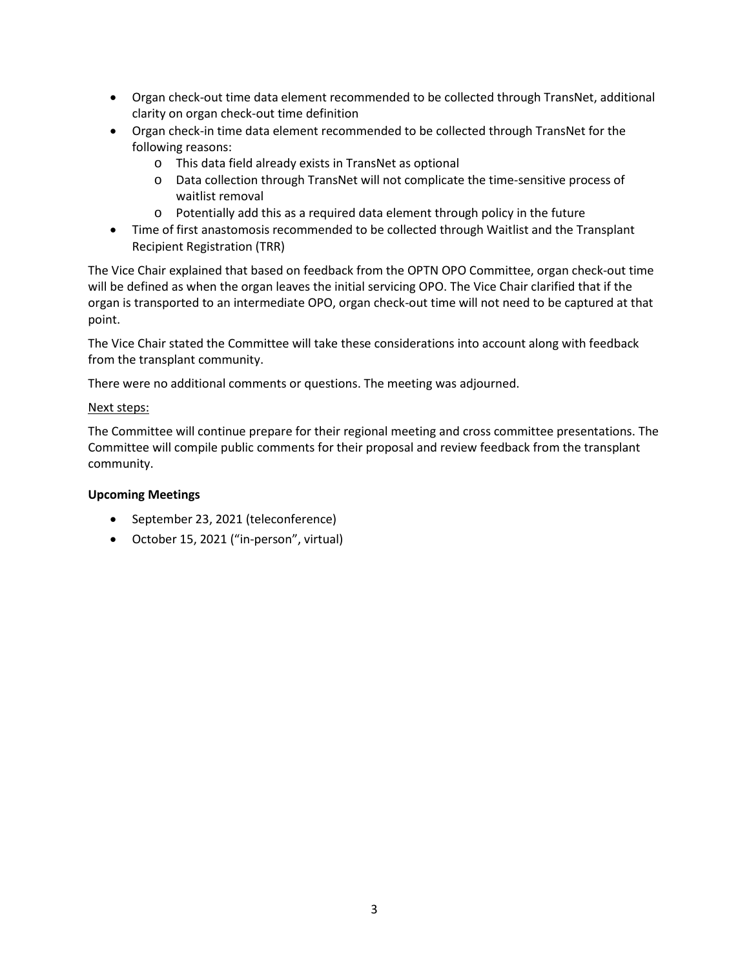- Organ check-out time data element recommended to be collected through TransNet, additional clarity on organ check-out time definition
- Organ check-in time data element recommended to be collected through TransNet for the following reasons:
	- o This data field already exists in TransNet as optional
	- o Data collection through TransNet will not complicate the time-sensitive process of waitlist removal
	- o Potentially add this as a required data element through policy in the future
- Time of first anastomosis recommended to be collected through Waitlist and the Transplant Recipient Registration (TRR)

The Vice Chair explained that based on feedback from the OPTN OPO Committee, organ check-out time will be defined as when the organ leaves the initial servicing OPO. The Vice Chair clarified that if the organ is transported to an intermediate OPO, organ check-out time will not need to be captured at that point.

The Vice Chair stated the Committee will take these considerations into account along with feedback from the transplant community.

There were no additional comments or questions. The meeting was adjourned.

### Next steps:

The Committee will continue prepare for their regional meeting and cross committee presentations. The Committee will compile public comments for their proposal and review feedback from the transplant community.

### **Upcoming Meetings**

- September 23, 2021 (teleconference)
- October 15, 2021 ("in-person", virtual)